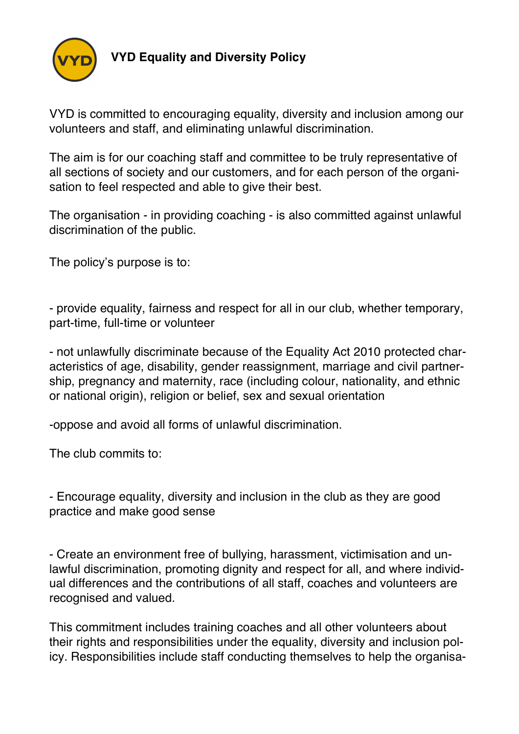

**VYD Equality and Diversity Policy**

VYD is committed to encouraging equality, diversity and inclusion among our volunteers and staff, and eliminating unlawful discrimination.

The aim is for our coaching staff and committee to be truly representative of all sections of society and our customers, and for each person of the organisation to feel respected and able to give their best.

The organisation - in providing coaching - is also committed against unlawful discrimination of the public.

The policy's purpose is to:

- provide equality, fairness and respect for all in our club, whether temporary, part-time, full-time or volunteer

- not unlawfully discriminate because of the Equality Act 2010 protected characteristics of age, disability, gender reassignment, marriage and civil partnership, pregnancy and maternity, race (including colour, nationality, and ethnic or national origin), religion or belief, sex and sexual orientation

-oppose and avoid all forms of unlawful discrimination.

The club commits to:

- Encourage equality, diversity and inclusion in the club as they are good practice and make good sense

- Create an environment free of bullying, harassment, victimisation and unlawful discrimination, promoting dignity and respect for all, and where individual differences and the contributions of all staff, coaches and volunteers are recognised and valued.

This commitment includes training coaches and all other volunteers about their rights and responsibilities under the equality, diversity and inclusion policy. Responsibilities include staff conducting themselves to help the organisa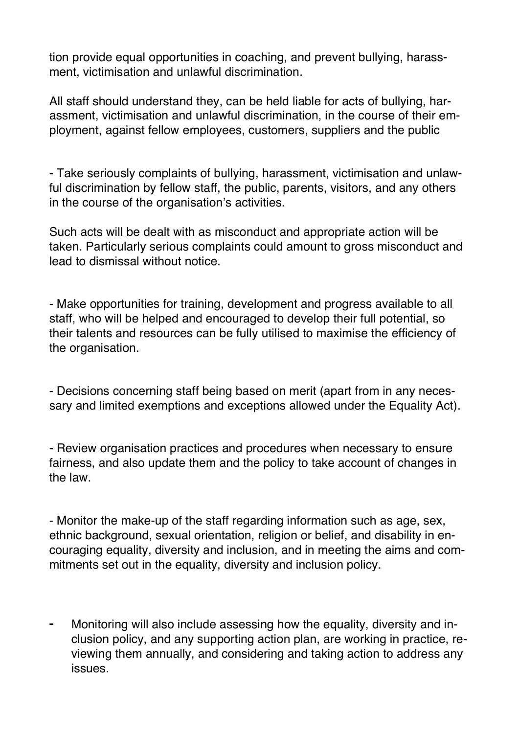tion provide equal opportunities in coaching, and prevent bullying, harassment, victimisation and unlawful discrimination.

All staff should understand they, can be held liable for acts of bullying, harassment, victimisation and unlawful discrimination, in the course of their employment, against fellow employees, customers, suppliers and the public

- Take seriously complaints of bullying, harassment, victimisation and unlawful discrimination by fellow staff, the public, parents, visitors, and any others in the course of the organisation's activities.

Such acts will be dealt with as misconduct and appropriate action will be taken. Particularly serious complaints could amount to gross misconduct and lead to dismissal without notice.

- Make opportunities for training, development and progress available to all staff, who will be helped and encouraged to develop their full potential, so their talents and resources can be fully utilised to maximise the efficiency of the organisation.

- Decisions concerning staff being based on merit (apart from in any necessary and limited exemptions and exceptions allowed under the Equality Act).

- Review organisation practices and procedures when necessary to ensure fairness, and also update them and the policy to take account of changes in the law.

- Monitor the make-up of the staff regarding information such as age, sex, ethnic background, sexual orientation, religion or belief, and disability in encouraging equality, diversity and inclusion, and in meeting the aims and commitments set out in the equality, diversity and inclusion policy.

Monitoring will also include assessing how the equality, diversity and inclusion policy, and any supporting action plan, are working in practice, reviewing them annually, and considering and taking action to address any issues.